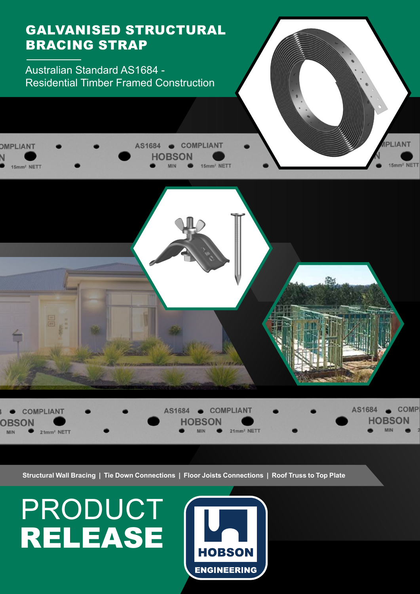

**HOBSON ENGINEERING**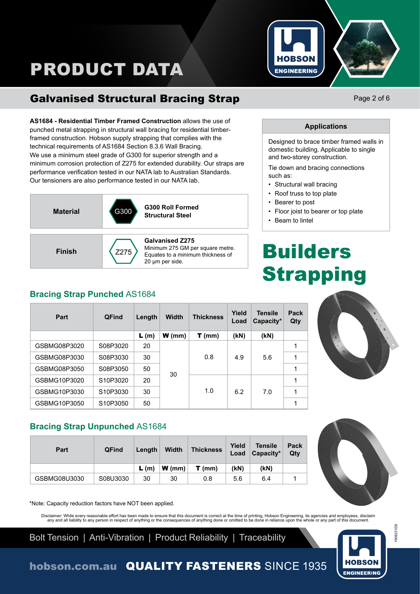

## Galvanised Structural Bracing Strap

**AS1684 - Residential Timber Framed Construction** allows the use of punched metal strapping in structural wall bracing for residential timberframed construction. Hobson supply strapping that complies with the technical requirements of AS1684 Section 8.3.6 Wall Bracing. We use a minimum steel grade of G300 for superior strength and a minimum corrosion protection of Z275 for extended durability. Our straps are performance verification tested in our NATA lab to Australian Standards. Our tensioners are also performance tested in our NATA lab.



Minimum 275 GM per square metre. Equates to a minimum thickness of 20 μm per side.

## **Bracing Strap Punched** AS1684

| Part         | <b>QFind</b> | Length | <b>Width</b> | <b>Thickness</b> | Yield<br>Load | <b>Tensile</b><br>Capacity* | Pack<br>Qty |
|--------------|--------------|--------|--------------|------------------|---------------|-----------------------------|-------------|
|              |              | L(m)   | $W$ (mm)     | $T$ (mm)         | (kN)          | (KN)                        |             |
| GSBMG08P3020 | S08P3020     | 20     |              | 0.8              | 4.9           | 5.6                         | 1           |
| GSBMG08P3030 | S08P3030     | 30     |              |                  |               |                             | 1           |
| GSBMG08P3050 | S08P3050     | 50     |              |                  |               |                             | 1           |
| GSBMG10P3020 | S10P3020     | 20     | 30           |                  |               |                             | 1           |
| GSBMG10P3030 | S10P3030     | 30     |              | 1.0              | 6.2           | 7.0                         | 1           |
| GSBMG10P3050 | S10P3050     | 50     |              |                  |               |                             | 1           |



**Bracing Strap Unpunched** AS1684

| Part         | <b>QFind</b> | Length | <b>Width</b>                | <b>Thickness</b> | Yield<br>Load | <b>Tensile</b><br>Capacity* | Pack<br>Qty |
|--------------|--------------|--------|-----------------------------|------------------|---------------|-----------------------------|-------------|
|              |              | L(m)   | $ \mathbf{W}(\mathsf{mm}) $ | $T$ (mm)         | (kN)          | (kN)                        |             |
| GSBMG08U3030 | S08U3030     | 30     | 30                          | 0.8              | 5.6           | 6.4                         |             |

\*Note: Capacity reduction factors have NOT been applied.

Disclaimer: While every reasonable effort has been made to ensure that this document is correct at the time of printing, Hobson Engineering, its agencies and employees, disclaim<br>any and all liability to any person in respe

Bolt Tension | Anti-Vibration | Product Reliability | Traceability

HORSON **ENGINEERING** 

# Page 2 of 6

#### **Applications**

Designed to brace timber framed walls in domestic building. Applicable to single and two-storey construction.

Tie down and bracing connections such as:

- Structural wall bracing
- Roof truss to top plate
- Bearer to post
- Floor joist to bearer or top plate
- Beam to lintel

# Builders **Strapping**





1908231DS

908231DS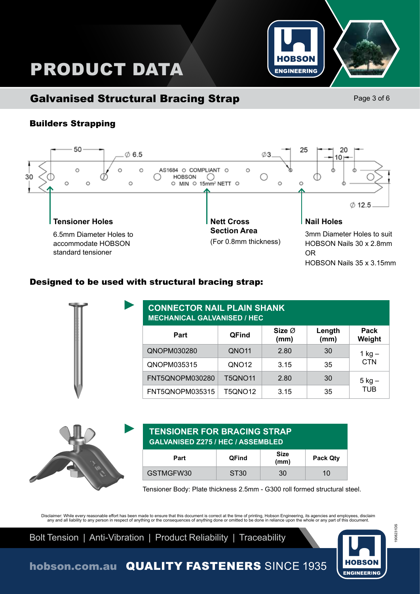

## Builders Strapping



## Designed to be used with structural bracing strap:

| <b>CONNECTOR NAIL PLAIN SHANK</b><br><b>MECHANICAL GALVANISED / HEC</b> |                   |                            |                |                |  |
|-------------------------------------------------------------------------|-------------------|----------------------------|----------------|----------------|--|
| Part                                                                    | <b>QFind</b>      | Size $\varnothing$<br>(mm) | Length<br>(mm) | Pack<br>Weight |  |
| QNOPM030280                                                             | QNO <sub>11</sub> | 2.80                       | 30             | $1$ kg $-$     |  |
| QNOPM035315                                                             | QNO <sub>12</sub> | 3.15                       | 35             | <b>CTN</b>     |  |
| FNT5QNOPM030280                                                         | <b>T5QNO11</b>    | 2.80                       | 30             | $5$ kg $-$     |  |
| FNT5QNOPM035315                                                         | <b>T5QNO12</b>    | 3.15                       | 35             | <b>TUB</b>     |  |



#### **TENSIONER FOR BRACING STRAP GALVANISED Z275 / HEC / ASSEMBLED**

| Part      | <b>QFind</b>     | <b>Size</b><br>(mm) | Pack Qty |
|-----------|------------------|---------------------|----------|
| GSTMGFW30 | ST <sub>30</sub> | 30                  | 10       |

Tensioner Body: Plate thickness 2.5mm - G300 roll formed structural steel.

Disclaimer: While every reasonable effort has been made to ensure that this document is correct at the time of printing, Hobson Engineering, its agencies and employees, disclaim<br>any and all liability to any person in respe

Bolt Tension | Anti-Vibration | Product Reliability | Traceability



1908231DS

1908231DS

## **HOBSON ENGINEERING** Page 3 of 6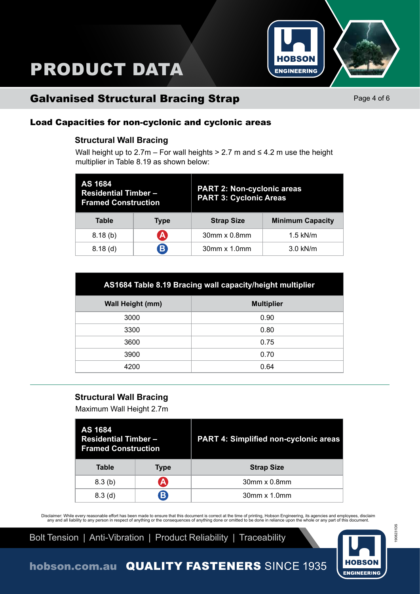

## Galvanised Structural Bracing Strap

Page 4 of 6

## Load Capacities for non-cyclonic and cyclonic areas

#### **Structural Wall Bracing**

Wall height up to  $2.7m$  – For wall heights > 2.7 m and  $\leq 4.2$  m use the height multiplier in Table 8.19 as shown below:

| AS 1684<br><b>Residential Timber-</b><br><b>Framed Construction</b> |              | <b>PART 2: Non-cyclonic areas</b><br><b>PART 3: Cyclonic Areas</b> |                         |  |  |
|---------------------------------------------------------------------|--------------|--------------------------------------------------------------------|-------------------------|--|--|
| <b>Table</b>                                                        | <b>Type</b>  | <b>Strap Size</b>                                                  | <b>Minimum Capacity</b> |  |  |
| 8.18(b)                                                             | A            | 30mm x 0.8mm                                                       | $1.5$ kN/m              |  |  |
| $8.18$ (d)                                                          | $\mathbf{B}$ | 30mm x 1.0mm                                                       | 3.0 kN/m                |  |  |

| AS1684 Table 8.19 Bracing wall capacity/height multiplier |                   |  |  |
|-----------------------------------------------------------|-------------------|--|--|
| <b>Wall Height (mm)</b>                                   | <b>Multiplier</b> |  |  |
| 3000                                                      | 0.90              |  |  |
| 3300                                                      | 0.80              |  |  |
| 3600                                                      | 0.75              |  |  |
| 3900                                                      | 0.70              |  |  |
| 4200                                                      | 0.64              |  |  |
|                                                           |                   |  |  |

#### **Structural Wall Bracing**

Maximum Wall Height 2.7m

| AS 1684<br><b>Residential Timber-</b><br><b>Framed Construction</b> |   | <b>PART 4: Simplified non-cyclonic areas</b> |  |  |
|---------------------------------------------------------------------|---|----------------------------------------------|--|--|
| <b>Table</b><br><b>Type</b>                                         |   | <b>Strap Size</b>                            |  |  |
| 8.3(b)                                                              | A | $30$ mm x $0.8$ mm                           |  |  |
| 8.3 <sub>(d)</sub>                                                  | В | $30$ mm $\times$ 1.0mm                       |  |  |

Disclaimer: While every reasonable effort has been made to ensure that this document is correct at the time of printing, Hobson Engineering, its agencies and employees, disclaim<br>any and all liability to any person in respe

Bolt Tension | Anti-Vibration | Product Reliability | Traceability



1908231DS

1908231DS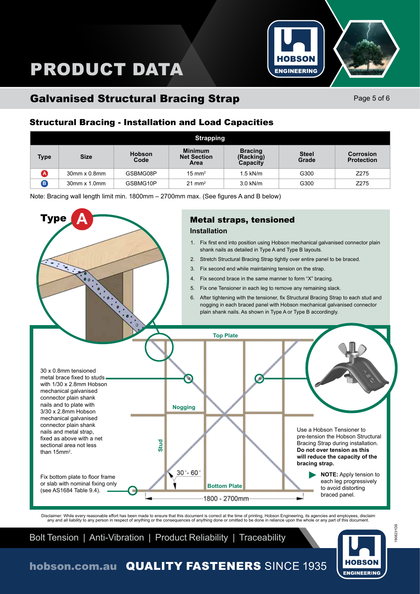

## Galvanised Structural Bracing Strap

Page 5 of 6

## Structural Bracing - Installation and Load Capacities

|             | <b>Strapping</b>       |                       |                                              |                                         |                       |                                       |
|-------------|------------------------|-----------------------|----------------------------------------------|-----------------------------------------|-----------------------|---------------------------------------|
| <b>Type</b> | <b>Size</b>            | <b>Hobson</b><br>Code | <b>Minimum</b><br><b>Net Section</b><br>Area | <b>Bracing</b><br>(Racking)<br>Capacity | <b>Steel</b><br>Grade | <b>Corrosion</b><br><b>Protection</b> |
|             | $30$ mm x $0.8$ mm     | GSBMG08P              | $15 \text{ mm}^2$                            | $1.5$ kN/m                              | G300                  | Z275                                  |
| B.          | $30$ mm $\times$ 1.0mm | GSBMG10P              | $21 \text{ mm}^2$                            | 3.0 kN/m                                | G300                  | Z275                                  |

Note: Bracing wall length limit min. 1800mm – 2700mm max. (See figures A and B below)



Disclaimer: While every reasonable effort has been made to ensure that this document is correct at the time of printing, Hobson Engineering, its agencies and employees, disclaim<br>any and all liability to any person in respe

Bolt Tension | Anti-Vibration | Product Reliability | Traceability



## hobson.com.au QUALITY FASTENERS SINCE 1935

908231DS 1908231DS